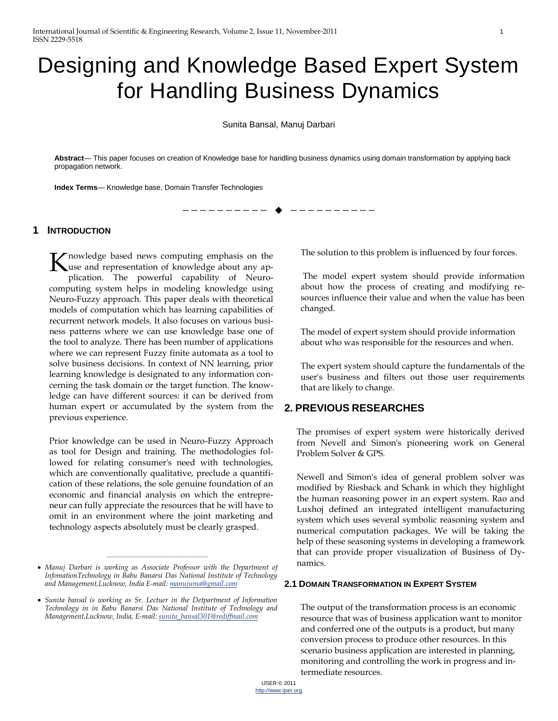# Designing and Knowledge Based Expert System for Handling Business Dynamics

Sunita Bansal, Manuj Darbari

**Abstract**— This paper focuses on creation of Knowledge base for handling business dynamics using domain transformation by applying back propagation network.

————————— ♦ —————————

**Index Terms**— Knowledge base, Domain Transfer Technologies

# **1 INTRODUCTION**

nowledge based news computing emphasis on the K nowledge based news computing emphasis on the<br>use and representation of knowledge about any application. The powerful capability of Neurocomputing system helps in modeling knowledge using Neuro-Fuzzy approach. This paper deals with theoretical models of computation which has learning capabilities of recurrent network models. It also focuses on various business patterns where we can use knowledge base one of the tool to analyze. There has been number of applications where we can represent Fuzzy finite automata as a tool to solve business decisions. In context of NN learning, prior learning knowledge is designated to any information concerning the task domain or the target function. The knowledge can have different sources: it can be derived from human expert or accumulated by the system from the previous experience.

Prior knowledge can be used in Neuro-Fuzzy Approach as tool for Design and training. The methodologies followed for relating consumer's need with technologies, which are conventionally qualitative, preclude a quantification of these relations, the sole genuine foundation of an economic and financial analysis on which the entrepreneur can fully appreciate the resources that he will have to omit in an environment where the joint marketing and technology aspects absolutely must be clearly grasped.

————————————————

The solution to this problem is influenced by four forces.

The model expert system should provide information about how the process of creating and modifying resources influence their value and when the value has been changed.

The model of expert system should provide information about who was responsible for the resources and when.

The expert system should capture the fundamentals of the user's business and filters out those user requirements that are likely to change.

# **2. PREVIOUS RESEARCHES**

The promises of expert system were historically derived from Nevell and Simon's pioneering work on General Problem Solver & GPS.

Newell and Simon's idea of general problem solver was modified by Riesback and Schank in which they highlight the human reasoning power in an expert system. Rao and Luxhoj defined an integrated intelligent manufacturing system which uses several symbolic reasoning system and numerical computation packages. We will be taking the help of these seasoning systems in developing a framework that can provide proper visualization of Business of Dynamics.

#### **2.1 DOMAIN TRANSFORMATION IN EXPERT SYSTEM**

The output of the transformation process is an economic resource that was of business application want to monitor and conferred one of the outputs is a product, but many conversion process to produce other resources. In this scenario business application are interested in planning, monitoring and controlling the work in progress and intermediate resources.

*Manuj Darbari is working as Associate Professor with the Department of InfomationTechnology in Babu Banarsi Das National Institute of Technology and Management,Lucknow, India E-mail[: manujuma@gmail.com](mailto:manujuma@gmail.com)*

*Sunita bansal is working as Sr. Lectuer in the Detpartment of Information Technology in in Babu Banarsi Das National Institute of Technology and Management,Lucknow, India, E-mail: sunita\_bansal301@rediffmail.com*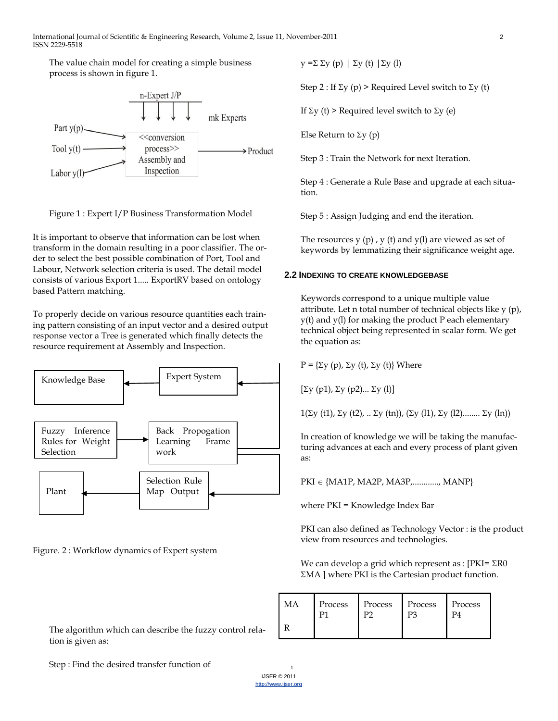The value chain model for creating a simple business process is shown in figure 1.



Figure 1 : Expert I/P Business Transformation Model

It is important to observe that information can be lost when transform in the domain resulting in a poor classifier. The order to select the best possible combination of Port, Tool and Labour, Network selection criteria is used. The detail model consists of various Export 1..... ExportRV based on ontology based Pattern matching.

To properly decide on various resource quantities each training pattern consisting of an input vector and a desired output response vector a Tree is generated which finally detects the resource requirement at Assembly and Inspection.



Figure. 2 : Workflow dynamics of Expert system

The algorithm which can describe the fuzzy control relation is given as:

 $y = \sum \sum y(p) \mid \sum y(t) \mid \sum y(l)$ 

Step 2 : If  $\Sigma$ y (p) > Required Level switch to  $\Sigma$ y (t)

If  $\Sigma$ y (t) > Required level switch to  $\Sigma$ y (e)

Else Return to  $\Sigma$ y (p)

Step 3 : Train the Network for next Iteration.

Step 4 : Generate a Rule Base and upgrade at each situation.

Step 5 : Assign Judging and end the iteration.

The resources  $y(p)$ ,  $y(t)$  and  $y(1)$  are viewed as set of keywords by lemmatizing their significance weight age.

### **2.2 INDEXING TO CREATE KNOWLEDGEBASE**

Keywords correspond to a unique multiple value attribute. Let n total number of technical objects like y (p), y(t) and y(l) for making the product P each elementary technical object being represented in scalar form. We get the equation as:

 $P = \{\Sigma y(p), \Sigma y(t), \Sigma y(t)\}\$  Where

 $[\Sigma y (p1), \Sigma y (p2) ... \Sigma y (l)]$ 

 $1(\Sigma y$  (t1),  $\Sigma y$  (t2), ..  $\Sigma y$  (tn)),  $(\Sigma y$  (l1),  $\Sigma y$  (l2)........  $\Sigma y$  (ln))

In creation of knowledge we will be taking the manufacturing advances at each and every process of plant given as:

 $PKI \in \{MA1P, MA2P, MA3P,$ ............., MANP $\}$ 

where PKI = Knowledge Index Bar

PKI can also defined as Technology Vector : is the product view from resources and technologies.

We can develop a grid which represent as :  $[PKI = \Sigma R0]$ MA ] where PKI is the Cartesian product function.

| Process | Process | Process | Process |
|---------|---------|---------|---------|
|         |         |         |         |

Step : Find the desired transfer function of